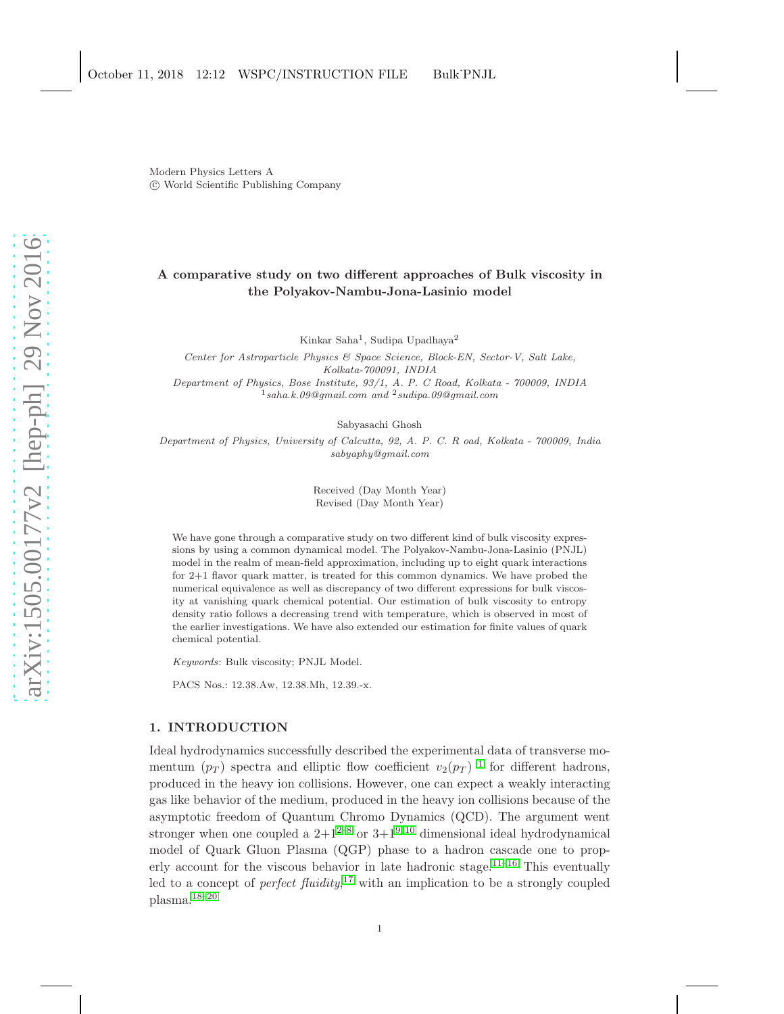Modern Physics Letters A c World Scientific Publishing Company

# A comparative study on two different approaches of Bulk viscosity in the Polyakov-Nambu-Jona-Lasinio model

Kinkar Saha<sup>1</sup>, Sudipa Upadhaya<sup>2</sup>

Center for Astroparticle Physics & Space Science, Block-EN, Sector-V, Salt Lake, Kolkata-700091, INDIA Department of Physics, Bose Institute, 93/1, A. P. C Road, Kolkata - 700009, INDIA  $1$ saha.k.09@gmail.com and  $2$ sudipa.09@gmail.com

Sabyasachi Ghosh

Department of Physics, University of Calcutta, 92, A. P. C. R oad, Kolkata - 700009, India sabyaphy@gmail.com

> Received (Day Month Year) Revised (Day Month Year)

We have gone through a comparative study on two different kind of bulk viscosity expressions by using a common dynamical model. The Polyakov-Nambu-Jona-Lasinio (PNJL) model in the realm of mean-field approximation, including up to eight quark interactions for 2+1 flavor quark matter, is treated for this common dynamics. We have probed the numerical equivalence as well as discrepancy of two different expressions for bulk viscosity at vanishing quark chemical potential. Our estimation of bulk viscosity to entropy density ratio follows a decreasing trend with temperature, which is observed in most of the earlier investigations. We have also extended our estimation for finite values of quark chemical potential.

Keywords: Bulk viscosity; PNJL Model.

PACS Nos.: 12.38.Aw, 12.38.Mh, 12.39.-x.

# 1. INTRODUCTION

Ideal hydrodynamics successfully described the experimental data of transverse momentum  $(p_T)$  spectra and elliptic flow coefficient  $v_2(p_T)^{-1}$  $v_2(p_T)^{-1}$  $v_2(p_T)^{-1}$  for different hadrons, produced in the heavy ion collisions. However, one can expect a weakly interacting gas like behavior of the medium, produced in the heavy ion collisions because of the asymptotic freedom of Quantum Chromo Dynamics (QCD). The argument went stronger when one coupled a  $2+1^{2-8}$  $2+1^{2-8}$  $2+1^{2-8}$  or  $3+1^{9,10}$  $3+1^{9,10}$  $3+1^{9,10}$  dimensional ideal hydrodynamical model of Quark Gluon Plasma (QGP) phase to a hadron cascade one to prop-erly account for the viscous behavior in late hadronic stage.<sup>[11](#page-10-5)[–16](#page-10-6)</sup> This eventually led to a concept of *perfect*  $fluidity$ ,<sup>[17](#page-10-7)</sup> with an implication to be a strongly coupled plasma.[18–](#page-10-8)[20](#page-10-9)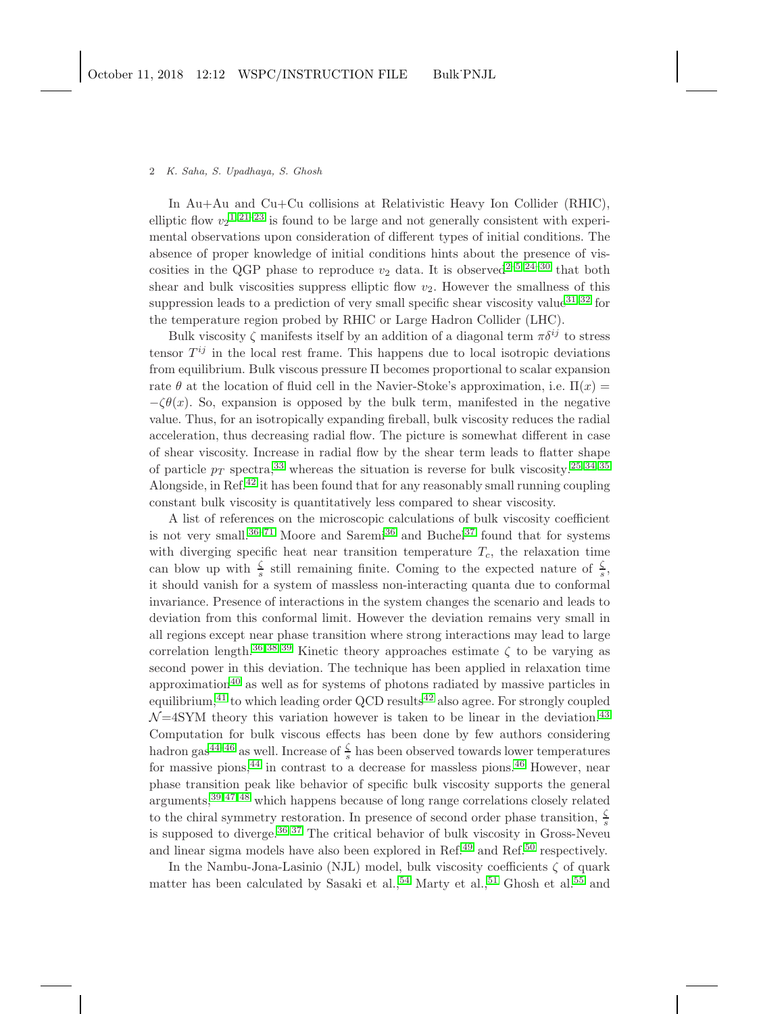#### 2 K. Saha, S. Upadhaya, S. Ghosh

In Au+Au and Cu+Cu collisions at Relativistic Heavy Ion Collider (RHIC), elliptic flow  $v_2$ <sup>[1,](#page-10-0) [21](#page-10-10)[–23](#page-10-11)</sup> is found to be large and not generally consistent with experimental observations upon consideration of different types of initial conditions. The absence of proper knowledge of initial conditions hints about the presence of viscosities in the QGP phase to reproduce  $v_2$  data. It is observed<sup>2-[5,](#page-10-12) 24-[30](#page-10-14)</sup> that both shear and bulk viscosities suppress elliptic flow  $v_2$ . However the smallness of this suppression leads to a prediction of very small specific shear viscosity value<sup>[31,](#page-10-15) [32](#page-11-0)</sup> for the temperature region probed by RHIC or Large Hadron Collider (LHC).

Bulk viscosity  $\zeta$  manifests itself by an addition of a diagonal term  $\pi \delta^{ij}$  to stress tensor  $T^{ij}$  in the local rest frame. This happens due to local isotropic deviations from equilibrium. Bulk viscous pressure Π becomes proportional to scalar expansion rate  $\theta$  at the location of fluid cell in the Navier-Stoke's approximation, i.e.  $\Pi(x)$  =  $-\zeta\theta(x)$ . So, expansion is opposed by the bulk term, manifested in the negative value. Thus, for an isotropically expanding fireball, bulk viscosity reduces the radial acceleration, thus decreasing radial flow. The picture is somewhat different in case of shear viscosity. Increase in radial flow by the shear term leads to flatter shape of particle  $p_T$  spectra,<sup>[33](#page-11-1)</sup> whereas the situation is reverse for bulk viscosity.<sup>[25,](#page-10-16) [34,](#page-11-2) [35](#page-11-3)</sup> Alongside, in Ref.[42](#page-11-4) it has been found that for any reasonably small running coupling constant bulk viscosity is quantitatively less compared to shear viscosity.

A list of references on the microscopic calculations of bulk viscosity coefficient is not very small.<sup>[36](#page-11-5)[–71](#page-11-6)</sup> Moore and Saremi<sup>36</sup> and Buchel<sup>[37](#page-11-7)</sup> found that for systems with diverging specific heat near transition temperature  $T_c$ , the relaxation time can blow up with  $\frac{\zeta}{s}$  still remaining finite. Coming to the expected nature of  $\frac{\zeta}{s}$ , it should vanish for a system of massless non-interacting quanta due to conformal invariance. Presence of interactions in the system changes the scenario and leads to deviation from this conformal limit. However the deviation remains very small in all regions except near phase transition where strong interactions may lead to large correlation length.<sup>[36,](#page-11-5) [38,](#page-11-8) [39](#page-11-9)</sup> Kinetic theory approaches estimate  $\zeta$  to be varying as second power in this deviation. The technique has been applied in relaxation time approximation<sup>[40](#page-11-10)</sup> as well as for systems of photons radiated by massive particles in equilibrium, $^{41}$  $^{41}$  $^{41}$  to which leading order QCD results $^{42}$  $^{42}$  $^{42}$  also agree. For strongly coupled  $\mathcal{N}$ =4SYM theory this variation however is taken to be linear in the deviation.<sup>[43](#page-11-12)</sup> Computation for bulk viscous effects has been done by few authors considering hadron gas<sup>[44](#page-11-13)[–46](#page-11-14)</sup> as well. Increase of  $\frac{\zeta}{s}$  has been observed towards lower temperatures for massive pions,  $44$  in contrast to a decrease for massless pions.  $46$  However, near phase transition peak like behavior of specific bulk viscosity supports the general arguments,[39,](#page-11-9) [47,](#page-11-15) [48](#page-11-16) which happens because of long range correlations closely related to the chiral symmetry restoration. In presence of second order phase transition,  $\frac{\zeta}{s}$ is supposed to diverge. $36,37$  $36,37$  The critical behavior of bulk viscosity in Gross-Neveu and linear sigma models have also been explored in Ref.<sup>[49](#page-11-17)</sup> and Ref.<sup>[50](#page-11-18)</sup> respectively.

In the Nambu-Jona-Lasinio (NJL) model, bulk viscosity coefficients  $\zeta$  of quark matter has been calculated by Sasaki et al.,  $54$  Marty et al.,  $51$  Ghosh et al.  $55$  and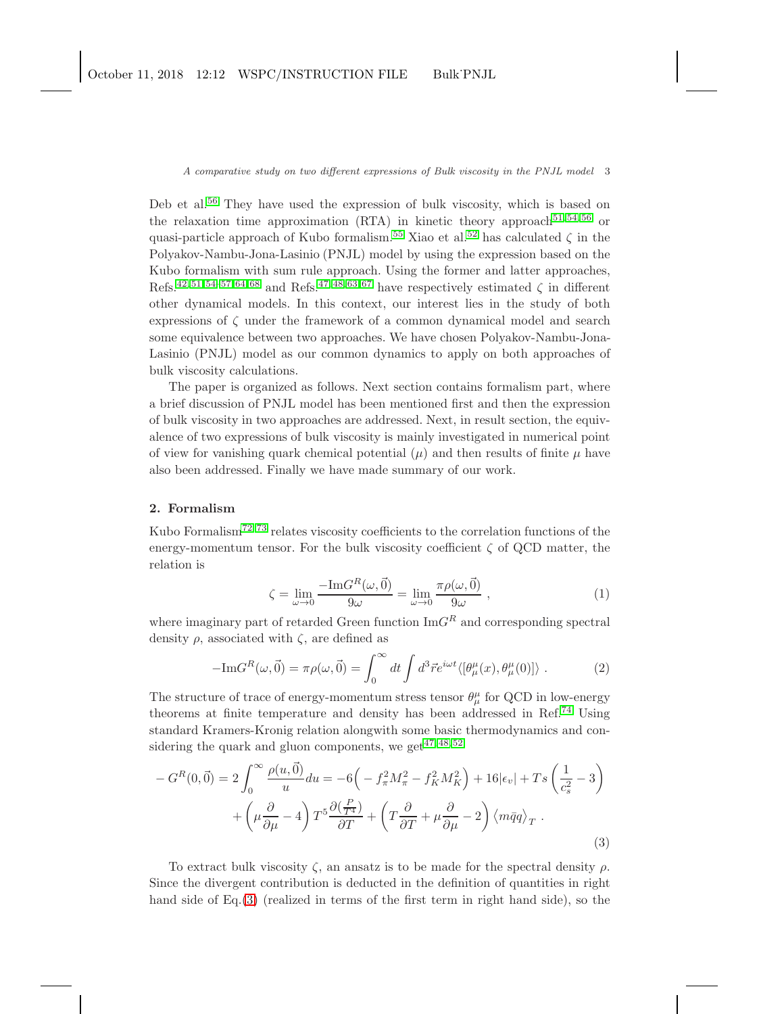Deb et al.<sup>[56](#page-11-22)</sup> They have used the expression of bulk viscosity, which is based on the relaxation time approximation (RTA) in kinetic theory approach<sup>[51,](#page-11-20) [54,](#page-11-19) [56](#page-11-22)</sup> or quasi-particle approach of Kubo formalism.<sup>[55](#page-11-21)</sup> Xiao et al.<sup>[52](#page-11-23)</sup> has calculated  $\zeta$  in the Polyakov-Nambu-Jona-Lasinio (PNJL) model by using the expression based on the Kubo formalism with sum rule approach. Using the former and latter approaches, Refs.<sup>[42,](#page-11-4) [51,](#page-11-20) [54–](#page-11-19)[57,](#page-11-24) [64,](#page-11-25) [68](#page-11-26)</sup> and Refs.<sup>[47,](#page-11-15) [48,](#page-11-16) [63,](#page-11-27) [67](#page-11-28)</sup> have respectively estimated  $\zeta$  in different other dynamical models. In this context, our interest lies in the study of both expressions of ζ under the framework of a common dynamical model and search some equivalence between two approaches. We have chosen Polyakov-Nambu-Jona-Lasinio (PNJL) model as our common dynamics to apply on both approaches of bulk viscosity calculations.

The paper is organized as follows. Next section contains formalism part, where a brief discussion of PNJL model has been mentioned first and then the expression of bulk viscosity in two approaches are addressed. Next, in result section, the equivalence of two expressions of bulk viscosity is mainly investigated in numerical point of view for vanishing quark chemical potential  $(\mu)$  and then results of finite  $\mu$  have also been addressed. Finally we have made summary of our work.

# 2. Formalism

Kubo Formalism<sup>[72,](#page-11-29) [73](#page-11-30)</sup> relates viscosity coefficients to the correlation functions of the energy-momentum tensor. For the bulk viscosity coefficient  $\zeta$  of QCD matter, the relation is

<span id="page-2-1"></span>
$$
\zeta = \lim_{\omega \to 0} \frac{-\text{Im}G^R(\omega, \vec{0})}{9\omega} = \lim_{\omega \to 0} \frac{\pi \rho(\omega, \vec{0})}{9\omega} , \qquad (1)
$$

where imaginary part of retarded Green function  $\text{Im}G^R$  and corresponding spectral density  $\rho$ , associated with  $\zeta$ , are defined as

$$
-\mathrm{Im}G^{R}(\omega,\vec{0}) = \pi \rho(\omega,\vec{0}) = \int_0^\infty dt \int d^3\vec{r} e^{i\omega t} \langle [\theta^{\mu}_{\mu}(x), \theta^{\mu}_{\mu}(0)] \rangle . \tag{2}
$$

The structure of trace of energy-momentum stress tensor  $\theta^{\mu}_{\mu}$  for QCD in low-energy theorems at finite temperature and density has been addressed in Ref.[74](#page-11-31) Using standard Kramers-Kronig relation alongwith some basic thermodynamics and considering the quark and gluon components, we get  $47,48,52$  $47,48,52$ 

<span id="page-2-0"></span>
$$
-G^{R}(0,\vec{0}) = 2\int_{0}^{\infty} \frac{\rho(u,\vec{0})}{u} du = -6\left(-f_{\pi}^{2}M_{\pi}^{2} - f_{K}^{2}M_{K}^{2}\right) + 16|\epsilon_{v}| + Ts\left(\frac{1}{c_{s}^{2}} - 3\right) + \left(\mu\frac{\partial}{\partial\mu} - 4\right)T^{5}\frac{\partial(\frac{P}{T^{4}})}{\partial T} + \left(T\frac{\partial}{\partial T} + \mu\frac{\partial}{\partial\mu} - 2\right)\langle m\bar{q}q\rangle_{T}.
$$
\n(3)

To extract bulk viscosity  $\zeta$ , an ansatz is to be made for the spectral density  $\rho$ . Since the divergent contribution is deducted in the definition of quantities in right hand side of Eq.[\(3\)](#page-2-0) (realized in terms of the first term in right hand side), so the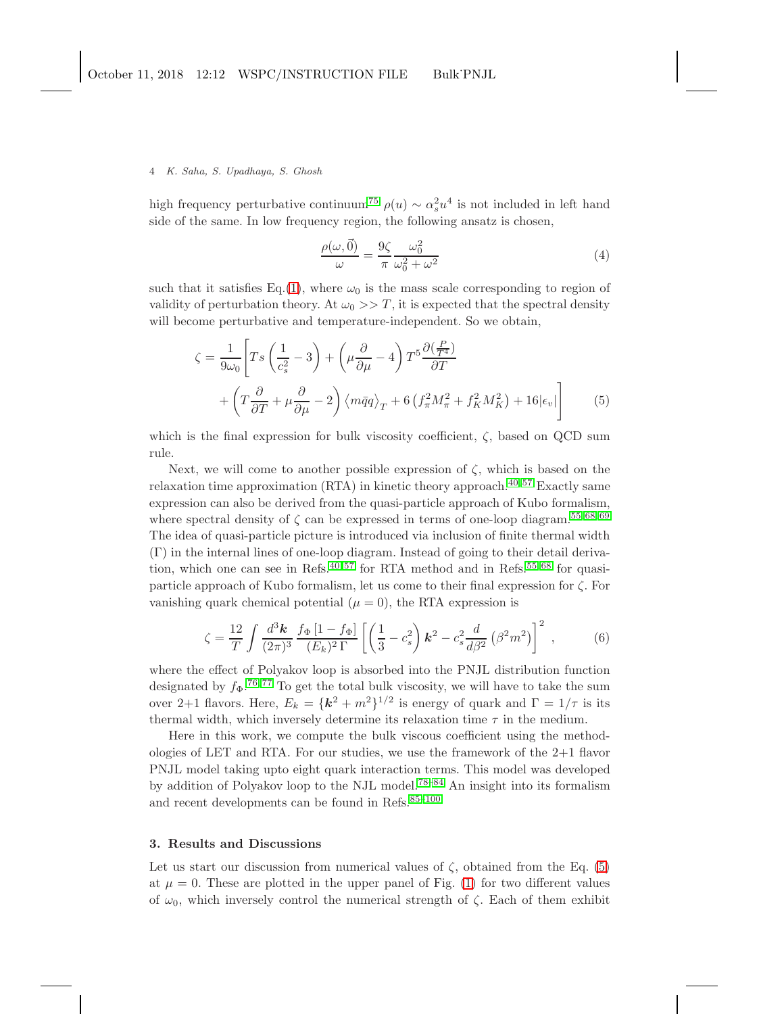### 4 K. Saha, S. Upadhaya, S. Ghosh

high frequency perturbative continuum<sup>[75](#page-11-32)</sup>  $\rho(u) \sim \alpha_s^2 u^4$  is not included in left hand side of the same. In low frequency region, the following ansatz is chosen,

$$
\frac{\rho(\omega,\vec{0})}{\omega} = \frac{9\zeta}{\pi} \frac{\omega_0^2}{\omega_0^2 + \omega^2}
$$
(4)

such that it satisfies Eq.[\(1\)](#page-2-1), where  $\omega_0$  is the mass scale corresponding to region of validity of perturbation theory. At  $\omega_0 >> T$ , it is expected that the spectral density will become perturbative and temperature-independent. So we obtain,

<span id="page-3-0"></span>
$$
\zeta = \frac{1}{9\omega_0} \left[ Ts \left( \frac{1}{c_s^2} - 3 \right) + \left( \mu \frac{\partial}{\partial \mu} - 4 \right) T^5 \frac{\partial \left( \frac{P}{T^4} \right)}{\partial T} + \left( T \frac{\partial}{\partial T} + \mu \frac{\partial}{\partial \mu} - 2 \right) \left\langle m \bar{q} q \right\rangle_T + 6 \left( f_\pi^2 M_\pi^2 + f_K^2 M_K^2 \right) + 16 |\epsilon_v| \right]
$$
(5)

which is the final expression for bulk viscosity coefficient,  $\zeta$ , based on QCD sum rule.

Next, we will come to another possible expression of  $\zeta$ , which is based on the relaxation time approximation (RTA) in kinetic theory approach.<sup>[40,](#page-11-10)57</sup> Exactly same expression can also be derived from the quasi-particle approach of Kubo formalism, where spectral density of  $\zeta$  can be expressed in terms of one-loop diagram.<sup>[55,](#page-11-21) [68,](#page-11-26) [69](#page-11-33)</sup> The idea of quasi-particle picture is introduced via inclusion of finite thermal width (Γ) in the internal lines of one-loop diagram. Instead of going to their detail derivation, which one can see in Refs. $40,57$  $40,57$  for RTA method and in Refs. $55,68$  $55,68$  for quasiparticle approach of Kubo formalism, let us come to their final expression for  $\zeta$ . For vanishing quark chemical potential  $(\mu = 0)$ , the RTA expression is

<span id="page-3-1"></span>
$$
\zeta = \frac{12}{T} \int \frac{d^3 \mathbf{k}}{(2\pi)^3} \frac{f_{\Phi} [1 - f_{\Phi}]}{(E_k)^2 \Gamma} \left[ \left( \frac{1}{3} - c_s^2 \right) \mathbf{k}^2 - c_s^2 \frac{d}{d\beta^2} \left( \beta^2 m^2 \right) \right]^2 , \tag{6}
$$

where the effect of Polyakov loop is absorbed into the PNJL distribution function designated by  $f_{\Phi}$ .<sup>[76,](#page-11-34)77</sup> To get the total bulk viscosity, we will have to take the sum over 2+1 flavors. Here,  $E_k = \{k^2 + m^2\}^{1/2}$  is energy of quark and  $\Gamma = 1/\tau$  is its thermal width, which inversely determine its relaxation time  $\tau$  in the medium.

Here in this work, we compute the bulk viscous coefficient using the methodologies of LET and RTA. For our studies, we use the framework of the  $2+1$  flavor PNJL model taking upto eight quark interaction terms. This model was developed by addition of Polyakov loop to the NJL model.[78–](#page-12-0)[84](#page-12-1) An insight into its formalism and recent developments can be found in Refs. $85-100$  $85-100$ 

## 3. Results and Discussions

Let us start our discussion from numerical values of  $\zeta$ , obtained from the Eq. [\(5\)](#page-3-0) at  $\mu = 0$ . These are plotted in the upper panel of Fig. [\(1\)](#page-4-0) for two different values of  $\omega_0$ , which inversely control the numerical strength of  $\zeta$ . Each of them exhibit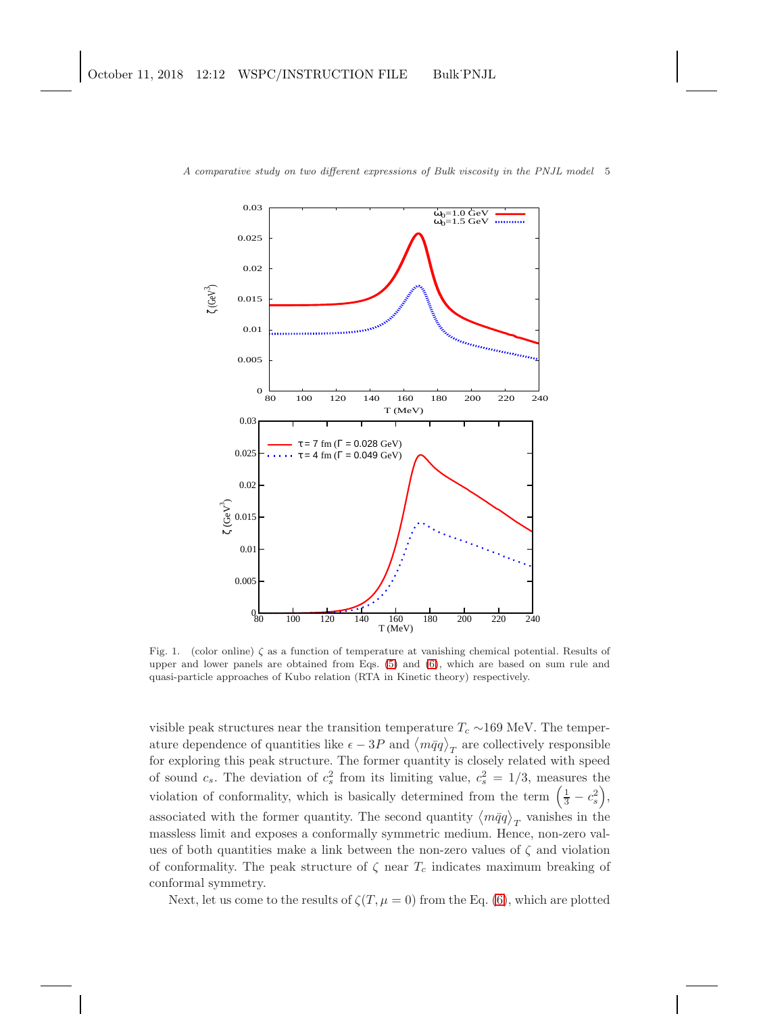

<span id="page-4-0"></span>Fig. 1. (color online) ζ as a function of temperature at vanishing chemical potential. Results of upper and lower panels are obtained from Eqs. [\(5\)](#page-3-0) and [\(6\)](#page-3-1), which are based on sum rule and quasi-particle approaches of Kubo relation (RTA in Kinetic theory) respectively.

visible peak structures near the transition temperature  $T_c \sim 169$  MeV. The temperature dependence of quantities like  $\epsilon - 3P$  and  $\langle m\bar{q}q \rangle_T$  are collectively responsible for exploring this peak structure. The former quantity is closely related with speed of sound  $c_s$ . The deviation of  $c_s^2$  from its limiting value,  $c_s^2 = 1/3$ , measures the violation of conformality, which is basically determined from the term  $(\frac{1}{3} - c_s^2)$ , associated with the former quantity. The second quantity  $\langle m\bar{q}q \rangle_T$  vanishes in the massless limit and exposes a conformally symmetric medium. Hence, non-zero values of both quantities make a link between the non-zero values of  $\zeta$  and violation of conformality. The peak structure of  $\zeta$  near  $T_c$  indicates maximum breaking of conformal symmetry.

Next, let us come to the results of  $\zeta(T, \mu = 0)$  from the Eq. [\(6\)](#page-3-1), which are plotted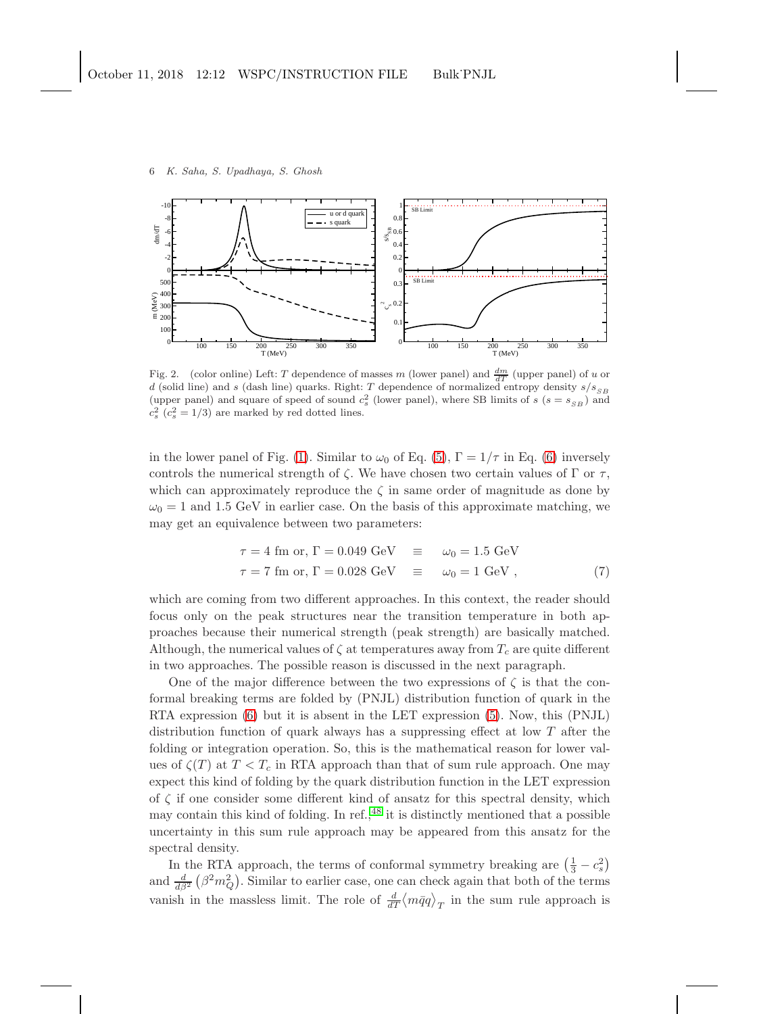



<span id="page-5-0"></span>Fig. 2. (color online) Left: T dependence of masses m (lower panel) and  $\frac{dm}{dT}$  (upper panel) of u or d (solid line) and s (dash line) quarks. Right: T dependence of normalized entropy density  $s/s_{SB}$ (upper panel) and square of speed of sound  $c_s^2$  (lower panel), where SB limits of  $s$  ( $s = s_{SB}$ ) and  $c_s^2$  ( $c_s^2 = 1/3$ ) are marked by red dotted lines.

in the lower panel of Fig. [\(1\)](#page-4-0). Similar to  $\omega_0$  of Eq. [\(5\)](#page-3-0),  $\Gamma = 1/\tau$  in Eq. [\(6\)](#page-3-1) inversely controls the numerical strength of  $\zeta$ . We have chosen two certain values of  $\Gamma$  or  $\tau$ , which can approximately reproduce the  $\zeta$  in same order of magnitude as done by  $\omega_0 = 1$  and 1.5 GeV in earlier case. On the basis of this approximate matching, we may get an equivalence between two parameters:

$$
\tau = 4 \text{ fm or, } \Gamma = 0.049 \text{ GeV} \quad \equiv \quad \omega_0 = 1.5 \text{ GeV}
$$
\n
$$
\tau = 7 \text{ fm or, } \Gamma = 0.028 \text{ GeV} \quad \equiv \quad \omega_0 = 1 \text{ GeV} \,, \tag{7}
$$

which are coming from two different approaches. In this context, the reader should focus only on the peak structures near the transition temperature in both approaches because their numerical strength (peak strength) are basically matched. Although, the numerical values of  $\zeta$  at temperatures away from  $T_c$  are quite different in two approaches. The possible reason is discussed in the next paragraph.

One of the major difference between the two expressions of  $\zeta$  is that the conformal breaking terms are folded by (PNJL) distribution function of quark in the RTA expression [\(6\)](#page-3-1) but it is absent in the LET expression [\(5\)](#page-3-0). Now, this (PNJL) distribution function of quark always has a suppressing effect at low  $T$  after the folding or integration operation. So, this is the mathematical reason for lower values of  $\zeta(T)$  at  $T < T_c$  in RTA approach than that of sum rule approach. One may expect this kind of folding by the quark distribution function in the LET expression of  $\zeta$  if one consider some different kind of ansatz for this spectral density, which may contain this kind of folding. In ref., $^{48}$  $^{48}$  $^{48}$  it is distinctly mentioned that a possible uncertainty in this sum rule approach may be appeared from this ansatz for the spectral density.

In the RTA approach, the terms of conformal symmetry breaking are  $(\frac{1}{3} - c_s^2)$ and  $\frac{d}{d\beta^2}(\beta^2 m_Q^2)$ . Similar to earlier case, one can check again that both of the terms vanish in the massless limit. The role of  $\frac{d}{dT}\langle m\bar{q}q\rangle_T$  in the sum rule approach is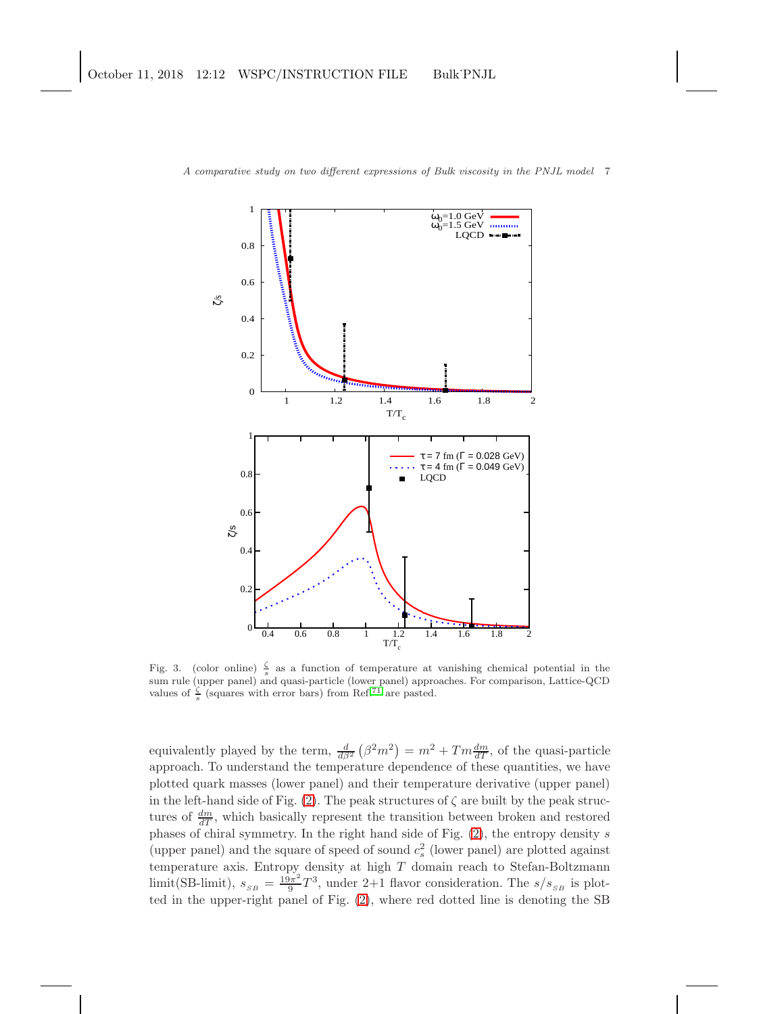

<span id="page-6-0"></span>Fig. 3. (color online)  $\frac{\zeta}{s}$  as a function of temperature at vanishing chemical potential in the sum rule (upper panel) and quasi-particle (lower panel) approaches. For comparison, Lattice-QCD values of  $\frac{\zeta}{s}$  (squares with error bars) from Ref.<sup>[71](#page-11-6)</sup> are pasted.

equivalently played by the term,  $\frac{d}{d\beta^2}(\beta^2 m^2) = m^2 + T m \frac{dm}{dT}$ , of the quasi-particle approach. To understand the temperature dependence of these quantities, we have plotted quark masses (lower panel) and their temperature derivative (upper panel) in the left-hand side of Fig. [\(2\)](#page-5-0). The peak structures of  $\zeta$  are built by the peak structures of  $\frac{dm}{dT}$ , which basically represent the transition between broken and restored phases of chiral symmetry. In the right hand side of Fig.  $(2)$ , the entropy density s (upper panel) and the square of speed of sound  $c_s^2$  (lower panel) are plotted against temperature axis. Entropy density at high  $T$  domain reach to Stefan-Boltzmann  $\lim_{s \to \infty}$  (SB-limit),  $s_{SB} = \frac{19\pi^2}{9}$  $\frac{9\pi^2}{9}T^3$ , under 2+1 flavor consideration. The  $s/s_{SB}$  is plotted in the upper-right panel of Fig. [\(2\)](#page-5-0), where red dotted line is denoting the SB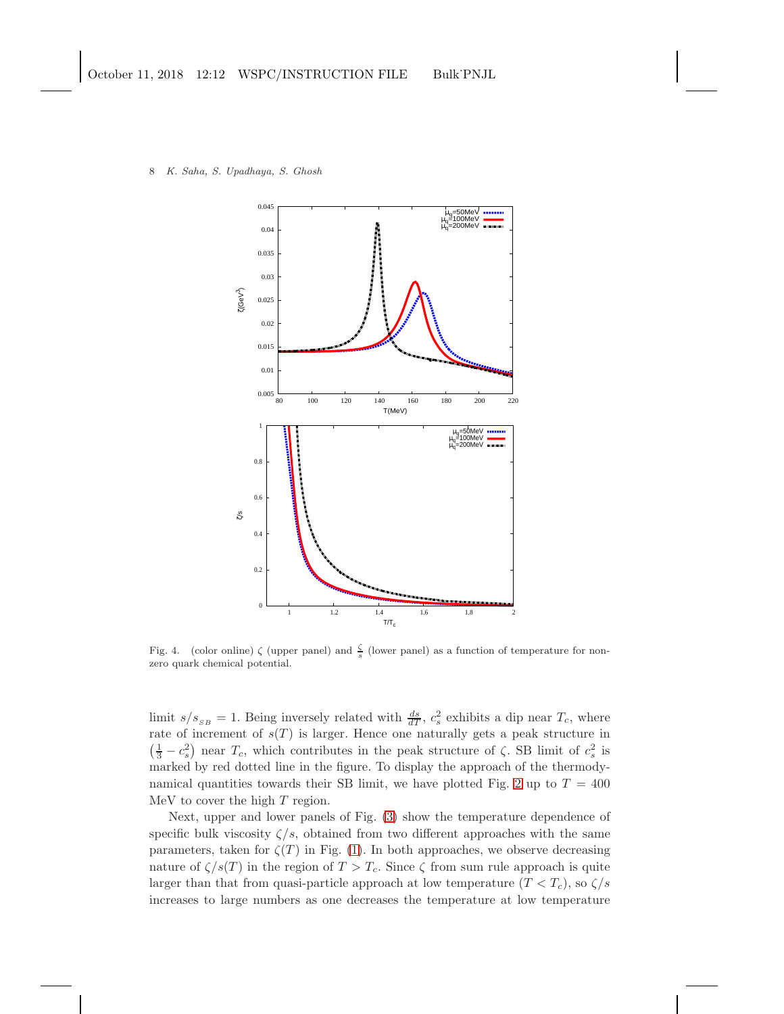



<span id="page-7-0"></span>Fig. 4. (color online)  $\zeta$  (upper panel) and  $\frac{\zeta}{s}$  (lower panel) as a function of temperature for nonzero quark chemical potential.

limit  $s/s_{SB} = 1$ . Being inversely related with  $\frac{ds}{dT}$ ,  $c_s^2$  exhibits a dip near  $T_c$ , where rate of increment of  $s(T)$  is larger. Hence one naturally gets a peak structure in  $\left(\frac{1}{3} - c_s^2\right)$  near  $T_c$ , which contributes in the peak structure of  $\zeta$ . SB limit of  $c_s^2$  is marked by red dotted line in the figure. To display the approach of the thermody-namical quantities towards their SB limit, we have plotted Fig. [2](#page-5-0) up to  $T = 400$ MeV to cover the high T region.

Next, upper and lower panels of Fig. [\(3\)](#page-6-0) show the temperature dependence of specific bulk viscosity  $\zeta/s$ , obtained from two different approaches with the same parameters, taken for  $\zeta(T)$  in Fig. [\(1\)](#page-4-0). In both approaches, we observe decreasing nature of  $\zeta/s(T)$  in the region of  $T > T_c$ . Since  $\zeta$  from sum rule approach is quite larger than that from quasi-particle approach at low temperature  $(T < T_c)$ , so  $\zeta/s$ increases to large numbers as one decreases the temperature at low temperature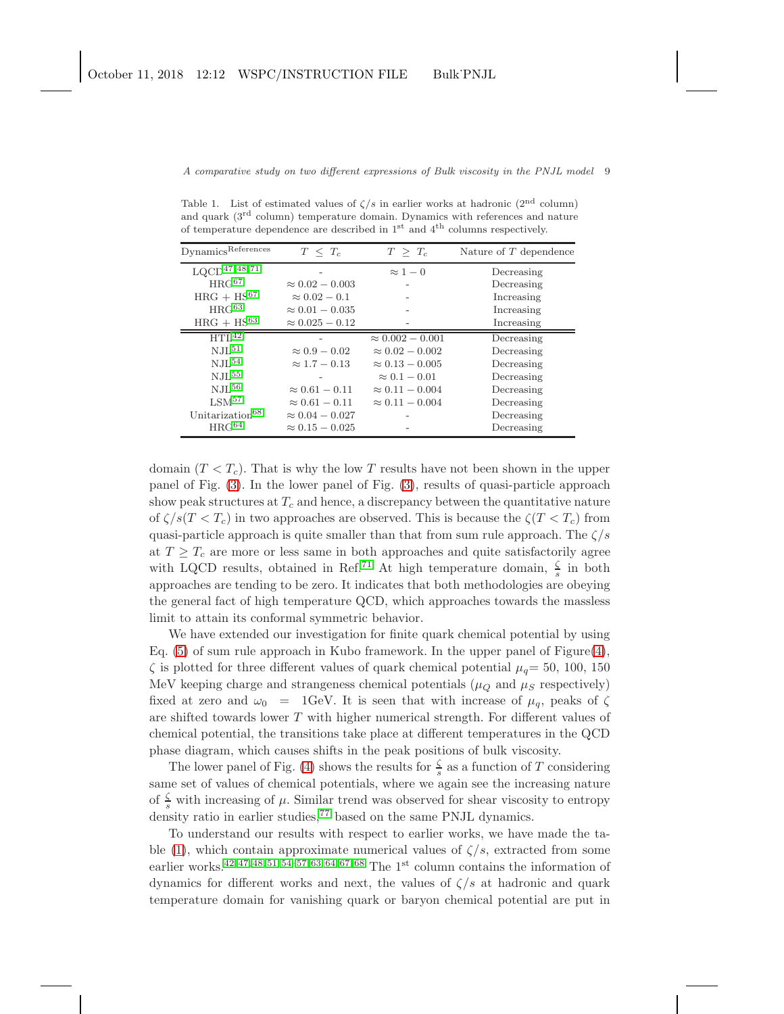<span id="page-8-0"></span>Table 1. List of estimated values of  $\zeta/s$  in earlier works at hadronic (2<sup>nd</sup> column) and quark (3rd column) temperature domain. Dynamics with references and nature of temperature dependence are described in  $1<sup>st</sup>$  and  $4<sup>th</sup>$  columns respectively.

| Dynamics <sup>References</sup> | $T \leq T_c$           | $T > T_c$               | Nature of T dependence |
|--------------------------------|------------------------|-------------------------|------------------------|
| $\rm LQCD^{47,\,48,\,71}$      |                        | $\approx 1-0$           | Decreasing             |
| $HRG^{67}$                     | $\approx 0.02 - 0.003$ |                         | Decreasing             |
| $HRG + HS^{67}$                | $\approx 0.02-0.1$     |                         | Increasing             |
| $HRG^{63}$                     | $\approx 0.01 - 0.035$ |                         | Increasing             |
| $HRG + HS^{63}$                | $\approx 0.025 - 0.12$ |                         | Increasing             |
| HTL <sup>42</sup>              |                        | $\approx 0.002 - 0.001$ | Decreasing             |
| N.IL <sup>51</sup>             | $\approx 0.9 - 0.02$   | $\approx 0.02 - 0.002$  | Decreasing             |
| $N.IL^{54}$                    | $\approx 1.7 - 0.13$   | $\approx 0.13 - 0.005$  | Decreasing             |
| $NJL^{55}$                     |                        | $\approx 0.1-0.01$      | Decreasing             |
| $N.IL^{56}$                    | $\approx 0.61 - 0.11$  | $\approx 0.11 - 0.004$  | Decreasing             |
| LSM <sup>57</sup>              | $\approx 0.61 - 0.11$  | $\approx 0.11 - 0.004$  | Decreasing             |
| Unitarization <sup>68</sup>    | $\approx 0.04 - 0.027$ |                         | Decreasing             |
| $HRG^{64}$                     | $\approx 0.15 - 0.025$ |                         | Decreasing             |

domain  $(T < T_c)$ . That is why the low T results have not been shown in the upper panel of Fig. [\(3\)](#page-6-0). In the lower panel of Fig. [\(3\)](#page-6-0), results of quasi-particle approach show peak structures at  $T_c$  and hence, a discrepancy between the quantitative nature of  $\zeta/s(T < T_c)$  in two approaches are observed. This is because the  $\zeta(T < T_c)$  from quasi-particle approach is quite smaller than that from sum rule approach. The  $\zeta/s$ at  $T \geq T_c$  are more or less same in both approaches and quite satisfactorily agree with LQCD results, obtained in Ref.<sup>[71](#page-11-6)</sup> At high temperature domain,  $\frac{\zeta}{s}$  in both approaches are tending to be zero. It indicates that both methodologies are obeying the general fact of high temperature QCD, which approaches towards the massless limit to attain its conformal symmetric behavior.

We have extended our investigation for finite quark chemical potential by using Eq.  $(5)$  of sum rule approach in Kubo framework. In the upper panel of Figure $(4)$ ,  $\zeta$  is plotted for three different values of quark chemical potential  $\mu_q=50, 100, 150$ MeV keeping charge and strangeness chemical potentials ( $\mu_Q$  and  $\mu_S$  respectively) fixed at zero and  $\omega_0$  = 1GeV. It is seen that with increase of  $\mu_q$ , peaks of  $\zeta$ are shifted towards lower T with higher numerical strength. For different values of chemical potential, the transitions take place at different temperatures in the QCD phase diagram, which causes shifts in the peak positions of bulk viscosity.

The lower panel of Fig. [\(4\)](#page-7-0) shows the results for  $\frac{\zeta}{s}$  as a function of T considering same set of values of chemical potentials, where we again see the increasing nature of  $\frac{\zeta}{s}$  with increasing of  $\mu$ . Similar trend was observed for shear viscosity to entropy density ratio in earlier studies, $77$  based on the same PNJL dynamics.

To understand our results with respect to earlier works, we have made the ta-ble [\(1\)](#page-8-0), which contain approximate numerical values of  $\zeta/s$ , extracted from some earlier works.<sup>[42,](#page-11-4) [47,](#page-11-15) [48,](#page-11-16) [51,](#page-11-20) [54–](#page-11-19)[57,](#page-11-24) [63,](#page-11-27) [64,](#page-11-25) [67,](#page-11-28) [68](#page-11-26)</sup> The 1<sup>st</sup> column contains the information of dynamics for different works and next, the values of  $\zeta/s$  at hadronic and quark temperature domain for vanishing quark or baryon chemical potential are put in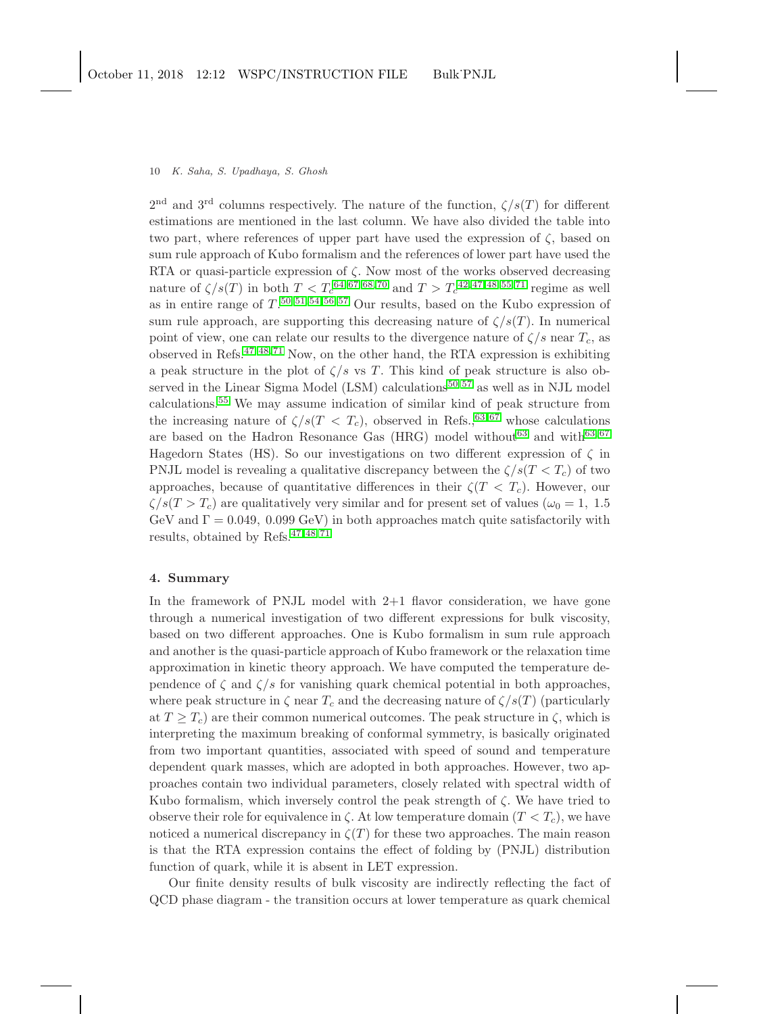### 10 K. Saha, S. Upadhaya, S. Ghosh

 $2<sup>nd</sup>$  and  $3<sup>rd</sup>$  columns respectively. The nature of the function,  $\zeta/s(T)$  for different estimations are mentioned in the last column. We have also divided the table into two part, where references of upper part have used the expression of  $\zeta$ , based on sum rule approach of Kubo formalism and the references of lower part have used the RTA or quasi-particle expression of  $\zeta$ . Now most of the works observed decreasing nature of  $\zeta/s(T)$  in both  $T < T_c^{64, 67, 68, 70}$  $T < T_c^{64, 67, 68, 70}$  $T < T_c^{64, 67, 68, 70}$  $T < T_c^{64, 67, 68, 70}$  $T < T_c^{64, 67, 68, 70}$  $T < T_c^{64, 67, 68, 70}$  and  $T > T_c^{42, 47, 48, 55, 71}$  $T > T_c^{42, 47, 48, 55, 71}$  $T > T_c^{42, 47, 48, 55, 71}$  $T > T_c^{42, 47, 48, 55, 71}$  $T > T_c^{42, 47, 48, 55, 71}$  $T > T_c^{42, 47, 48, 55, 71}$  $T > T_c^{42, 47, 48, 55, 71}$  regime as well as in entire range of  $T^{(50, 51, 54, 56, 57)}$  $T^{(50, 51, 54, 56, 57)}$  $T^{(50, 51, 54, 56, 57)}$  $T^{(50, 51, 54, 56, 57)}$  $T^{(50, 51, 54, 56, 57)}$  $T^{(50, 51, 54, 56, 57)}$  $T^{(50, 51, 54, 56, 57)}$  Our results, based on the Kubo expression of sum rule approach, are supporting this decreasing nature of  $\zeta/s(T)$ . In numerical point of view, one can relate our results to the divergence nature of  $\zeta/s$  near  $T_c$ , as observed in Refs.[47,](#page-11-15) [48,](#page-11-16) [71](#page-11-6) Now, on the other hand, the RTA expression is exhibiting a peak structure in the plot of  $\zeta/s$  vs T. This kind of peak structure is also observed in the Linear Sigma Model  $(LSM)$  calculations<sup>[50,](#page-11-18) [57](#page-11-24)</sup> as well as in NJL model calculations.[55](#page-11-21) We may assume indication of similar kind of peak structure from the increasing nature of  $\zeta/s(T < T_c)$ , observed in Refs.,<sup>[63,](#page-11-27)67</sup> whose calculations are based on the Hadron Resonance Gas (HRG) model without<sup>[63](#page-11-27)</sup> and with<sup>[63,](#page-11-27)67</sup> Hagedorn States (HS). So our investigations on two different expression of  $\zeta$  in PNJL model is revealing a qualitative discrepancy between the  $\zeta/s(T < T_c)$  of two approaches, because of quantitative differences in their  $\zeta(T < T_c)$ . However, our  $\zeta/s(T>T_c)$  are qualitatively very similar and for present set of values  $(\omega_0 = 1, 1.5)$ GeV and  $\Gamma = 0.049, 0.099$  GeV) in both approaches match quite satisfactorily with results, obtained by Refs.[47,](#page-11-15) [48,](#page-11-16) [71](#page-11-6)

## 4. Summary

In the framework of PNJL model with  $2+1$  flavor consideration, we have gone through a numerical investigation of two different expressions for bulk viscosity, based on two different approaches. One is Kubo formalism in sum rule approach and another is the quasi-particle approach of Kubo framework or the relaxation time approximation in kinetic theory approach. We have computed the temperature dependence of  $\zeta$  and  $\zeta/s$  for vanishing quark chemical potential in both approaches, where peak structure in  $\zeta$  near  $T_c$  and the decreasing nature of  $\zeta/s(T)$  (particularly at  $T \geq T_c$ ) are their common numerical outcomes. The peak structure in  $\zeta$ , which is interpreting the maximum breaking of conformal symmetry, is basically originated from two important quantities, associated with speed of sound and temperature dependent quark masses, which are adopted in both approaches. However, two approaches contain two individual parameters, closely related with spectral width of Kubo formalism, which inversely control the peak strength of  $\zeta$ . We have tried to observe their role for equivalence in  $\zeta$ . At low temperature domain  $(T < T_c)$ , we have noticed a numerical discrepancy in  $\zeta(T)$  for these two approaches. The main reason is that the RTA expression contains the effect of folding by (PNJL) distribution function of quark, while it is absent in LET expression.

Our finite density results of bulk viscosity are indirectly reflecting the fact of QCD phase diagram - the transition occurs at lower temperature as quark chemical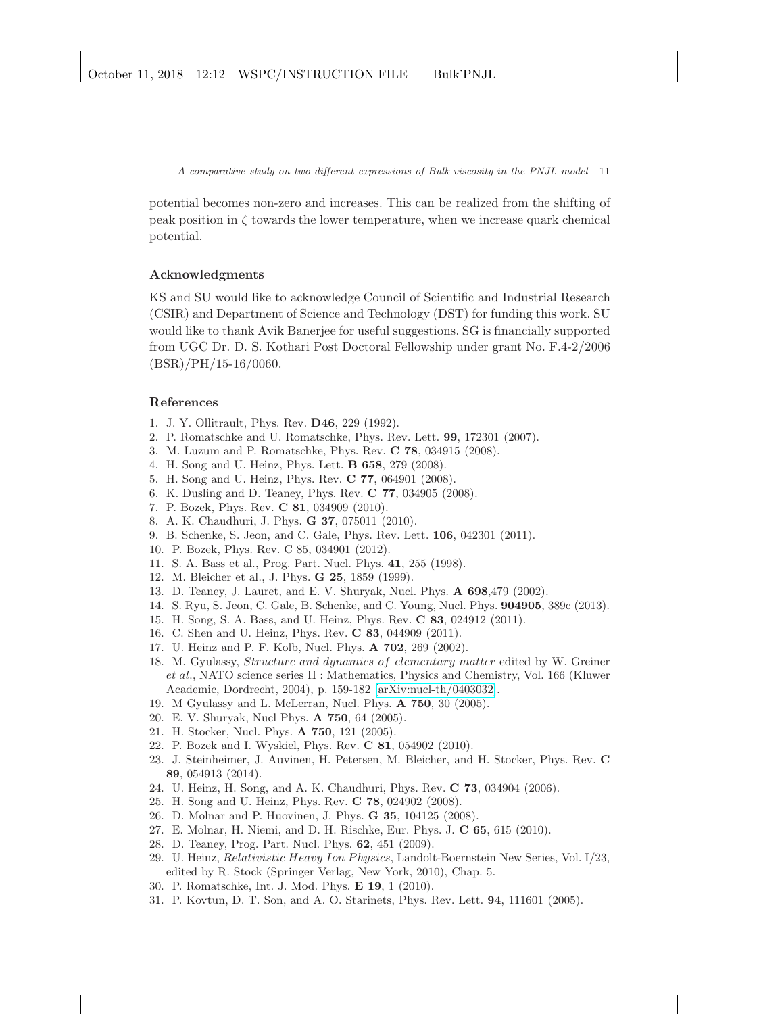potential becomes non-zero and increases. This can be realized from the shifting of peak position in  $\zeta$  towards the lower temperature, when we increase quark chemical potential.

## Acknowledgments

KS and SU would like to acknowledge Council of Scientific and Industrial Research (CSIR) and Department of Science and Technology (DST) for funding this work. SU would like to thank Avik Banerjee for useful suggestions. SG is financially supported from UGC Dr. D. S. Kothari Post Doctoral Fellowship under grant No. F.4-2/2006  $(BSR)/PH/15-16/0060$ .

# <span id="page-10-0"></span>References

- <span id="page-10-1"></span>1. J. Y. Ollitrault, Phys. Rev. D46, 229 (1992).
- 2. P. Romatschke and U. Romatschke, Phys. Rev. Lett. 99, 172301 (2007).
- 3. M. Luzum and P. Romatschke, Phys. Rev. C 78, 034915 (2008).
- <span id="page-10-12"></span>4. H. Song and U. Heinz, Phys. Lett. B 658, 279 (2008).
- 5. H. Song and U. Heinz, Phys. Rev. C 77, 064901 (2008).
- 6. K. Dusling and D. Teaney, Phys. Rev. C 77, 034905 (2008).
- <span id="page-10-2"></span>7. P. Bozek, Phys. Rev. C 81, 034909 (2010).
- <span id="page-10-3"></span>8. A. K. Chaudhuri, J. Phys. G 37, 075011 (2010).
- <span id="page-10-4"></span>9. B. Schenke, S. Jeon, and C. Gale, Phys. Rev. Lett. 106, 042301 (2011).
- <span id="page-10-5"></span>10. P. Bozek, Phys. Rev. C 85, 034901 (2012).
- 11. S. A. Bass et al., Prog. Part. Nucl. Phys. 41, 255 (1998).
- 12. M. Bleicher et al., J. Phys. G 25, 1859 (1999).
- 13. D. Teaney, J. Lauret, and E. V. Shuryak, Nucl. Phys. A 698,479 (2002).
- 14. S. Ryu, S. Jeon, C. Gale, B. Schenke, and C. Young, Nucl. Phys. 904905, 389c (2013).
- <span id="page-10-6"></span>15. H. Song, S. A. Bass, and U. Heinz, Phys. Rev. C 83, 024912 (2011).
- <span id="page-10-7"></span>16. C. Shen and U. Heinz, Phys. Rev. C 83, 044909 (2011).
- <span id="page-10-8"></span>17. U. Heinz and P. F. Kolb, Nucl. Phys. A 702, 269 (2002).
- 18. M. Gyulassy, Structure and dynamics of elementary matter edited by W. Greiner et al., NATO science series II : Mathematics, Physics and Chemistry, Vol. 166 (Kluwer Academic, Dordrecht, 2004), p. 159-182 [\[arXiv:nucl-th/0403032\]](http://arxiv.org/abs/nucl-th/0403032).
- <span id="page-10-9"></span>19. M Gyulassy and L. McLerran, Nucl. Phys. A 750, 30 (2005).
- <span id="page-10-10"></span>20. E. V. Shuryak, Nucl Phys. A 750, 64 (2005).
- 21. H. Stocker, Nucl. Phys. A 750, 121 (2005).
- <span id="page-10-11"></span>22. P. Bozek and I. Wyskiel, Phys. Rev. C 81, 054902 (2010).
- 23. J. Steinheimer, J. Auvinen, H. Petersen, M. Bleicher, and H. Stocker, Phys. Rev. C 89, 054913 (2014).
- <span id="page-10-16"></span><span id="page-10-13"></span>24. U. Heinz, H. Song, and A. K. Chaudhuri, Phys. Rev. C 73, 034904 (2006).
- 25. H. Song and U. Heinz, Phys. Rev. C 78, 024902 (2008).
- 26. D. Molnar and P. Huovinen, J. Phys. G 35, 104125 (2008).
- 27. E. Molnar, H. Niemi, and D. H. Rischke, Eur. Phys. J. C 65, 615 (2010).
- 28. D. Teaney, Prog. Part. Nucl. Phys. 62, 451 (2009).
- 29. U. Heinz, Relativistic Heavy Ion Physics, Landolt-Boernstein New Series, Vol. I/23, edited by R. Stock (Springer Verlag, New York, 2010), Chap. 5.
- <span id="page-10-15"></span><span id="page-10-14"></span>30. P. Romatschke, Int. J. Mod. Phys. E 19, 1 (2010).
- 31. P. Kovtun, D. T. Son, and A. O. Starinets, Phys. Rev. Lett. 94, 111601 (2005).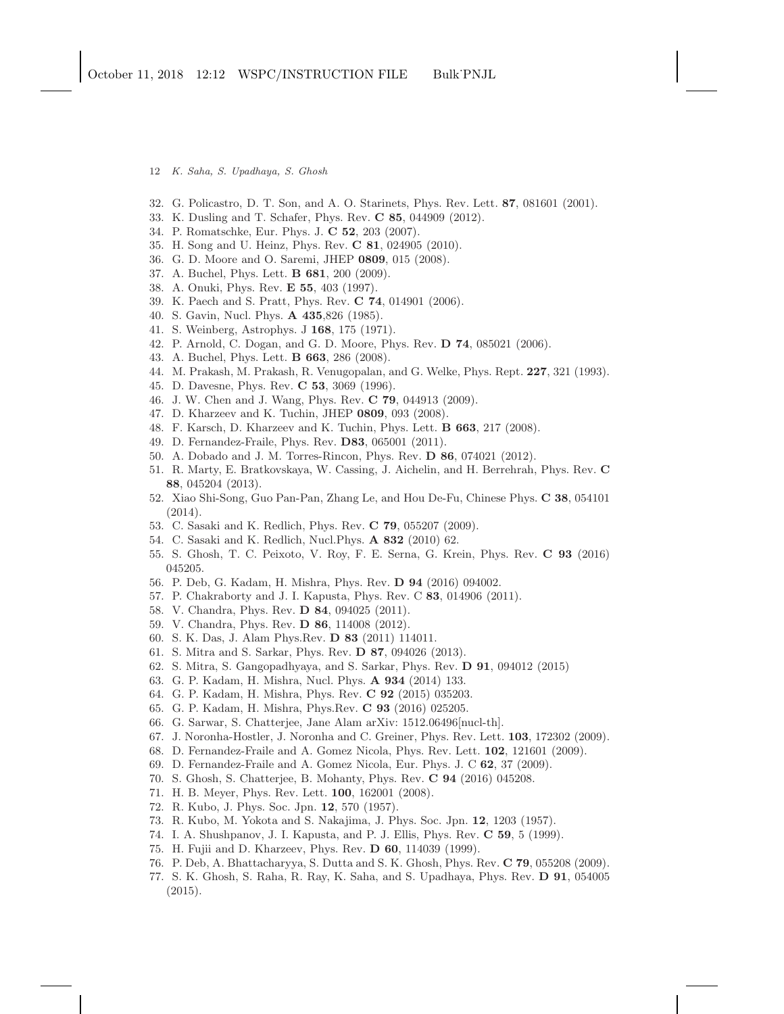- 12 K. Saha, S. Upadhaya, S. Ghosh
- <span id="page-11-1"></span><span id="page-11-0"></span>32. G. Policastro, D. T. Son, and A. O. Starinets, Phys. Rev. Lett. 87, 081601 (2001).
- <span id="page-11-2"></span>33. K. Dusling and T. Schafer, Phys. Rev. C 85, 044909 (2012).
- <span id="page-11-3"></span>34. P. Romatschke, Eur. Phys. J. C 52, 203 (2007).
- <span id="page-11-5"></span>35. H. Song and U. Heinz, Phys. Rev. C 81, 024905 (2010).
- <span id="page-11-7"></span>36. G. D. Moore and O. Saremi, JHEP 0809, 015 (2008).
- <span id="page-11-8"></span>37. A. Buchel, Phys. Lett. B 681, 200 (2009).
- <span id="page-11-9"></span>38. A. Onuki, Phys. Rev. E 55, 403 (1997).
- <span id="page-11-10"></span>39. K. Paech and S. Pratt, Phys. Rev. C 74, 014901 (2006).
- <span id="page-11-11"></span>40. S. Gavin, Nucl. Phys. A 435,826 (1985).
- <span id="page-11-4"></span>41. S. Weinberg, Astrophys. J 168, 175 (1971).
- <span id="page-11-12"></span>42. P. Arnold, C. Dogan, and G. D. Moore, Phys. Rev. D 74, 085021 (2006).
- <span id="page-11-13"></span>43. A. Buchel, Phys. Lett. B 663, 286 (2008).
- 44. M. Prakash, M. Prakash, R. Venugopalan, and G. Welke, Phys. Rept. 227, 321 (1993).
- <span id="page-11-14"></span>45. D. Davesne, Phys. Rev. C 53, 3069 (1996).
- <span id="page-11-15"></span>46. J. W. Chen and J. Wang, Phys. Rev. C 79, 044913 (2009).
- <span id="page-11-16"></span>47. D. Kharzeev and K. Tuchin, JHEP 0809, 093 (2008).
- <span id="page-11-17"></span>48. F. Karsch, D. Kharzeev and K. Tuchin, Phys. Lett. B 663, 217 (2008).
- <span id="page-11-18"></span>49. D. Fernandez-Fraile, Phys. Rev. D83, 065001 (2011).
- <span id="page-11-20"></span>50. A. Dobado and J. M. Torres-Rincon, Phys. Rev. D 86, 074021 (2012).
- 51. R. Marty, E. Bratkovskaya, W. Cassing, J. Aichelin, and H. Berrehrah, Phys. Rev. C 88, 045204 (2013).
- <span id="page-11-23"></span>52. Xiao Shi-Song, Guo Pan-Pan, Zhang Le, and Hou De-Fu, Chinese Phys. C 38, 054101 (2014).
- <span id="page-11-19"></span>53. C. Sasaki and K. Redlich, Phys. Rev. C 79, 055207 (2009).
- <span id="page-11-21"></span>54. C. Sasaki and K. Redlich, Nucl.Phys. A 832 (2010) 62.
- <span id="page-11-22"></span>55. S. Ghosh, T. C. Peixoto, V. Roy, F. E. Serna, G. Krein, Phys. Rev. C 93 (2016) 045205.
- <span id="page-11-24"></span>56. P. Deb, G. Kadam, H. Mishra, Phys. Rev. D 94 (2016) 094002.
- 57. P. Chakraborty and J. I. Kapusta, Phys. Rev. C 83, 014906 (2011).
- 58. V. Chandra, Phys. Rev. D 84, 094025 (2011).
- 59. V. Chandra, Phys. Rev. D 86, 114008 (2012).
- 60. S. K. Das, J. Alam Phys.Rev. D 83 (2011) 114011.
- 61. S. Mitra and S. Sarkar, Phys. Rev. D 87, 094026 (2013).
- <span id="page-11-27"></span>62. S. Mitra, S. Gangopadhyaya, and S. Sarkar, Phys. Rev. D 91, 094012 (2015)
- <span id="page-11-25"></span>63. G. P. Kadam, H. Mishra, Nucl. Phys. A 934 (2014) 133.
- 64. G. P. Kadam, H. Mishra, Phys. Rev. C 92 (2015) 035203.
- 65. G. P. Kadam, H. Mishra, Phys.Rev. C 93 (2016) 025205.
- <span id="page-11-28"></span>66. G. Sarwar, S. Chatterjee, Jane Alam arXiv: 1512.06496[nucl-th].
- <span id="page-11-26"></span>67. J. Noronha-Hostler, J. Noronha and C. Greiner, Phys. Rev. Lett. 103, 172302 (2009).
- <span id="page-11-33"></span>68. D. Fernandez-Fraile and A. Gomez Nicola, Phys. Rev. Lett. 102, 121601 (2009).
- <span id="page-11-36"></span>69. D. Fernandez-Fraile and A. Gomez Nicola, Eur. Phys. J. C 62, 37 (2009).
- <span id="page-11-6"></span>70. S. Ghosh, S. Chatterjee, B. Mohanty, Phys. Rev. C 94 (2016) 045208.
- <span id="page-11-29"></span>71. H. B. Meyer, Phys. Rev. Lett. 100, 162001 (2008).
- <span id="page-11-30"></span>72. R. Kubo, J. Phys. Soc. Jpn. 12, 570 (1957).
- <span id="page-11-31"></span>73. R. Kubo, M. Yokota and S. Nakajima, J. Phys. Soc. Jpn. 12, 1203 (1957).
- <span id="page-11-32"></span>74. I. A. Shushpanov, J. I. Kapusta, and P. J. Ellis, Phys. Rev. C 59, 5 (1999).
- <span id="page-11-34"></span>75. H. Fujii and D. Kharzeev, Phys. Rev. D 60, 114039 (1999).
- <span id="page-11-35"></span>76. P. Deb, A. Bhattacharyya, S. Dutta and S. K. Ghosh, Phys. Rev. C 79, 055208 (2009).
- 77. S. K. Ghosh, S. Raha, R. Ray, K. Saha, and S. Upadhaya, Phys. Rev. D 91, 054005 (2015).